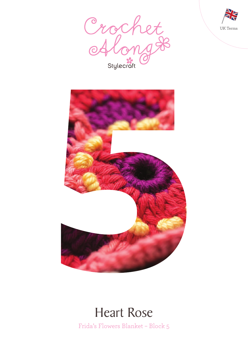





# Heart Rose

Frida's Flowers Blanket – Block 5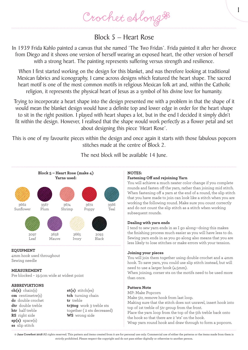Crochet Along &

# Block 5 – Heart Rose

In 1939 Frida Kahlo painted a canvas that she named 'The Two Fridas'. Frida painted it after her divorce from Diego and it shows one version of herself wearing an exposed heart, the other version of herself with a strong heart. The painting represents suffering versus strength and resilience.

When I first started working on the design for this blanket, and was therefore looking at traditional Mexican fabrics and iconography, I came across designs which featured the heart shape. The sacred heart motif is one of the most common motifs in religious Mexican folk art and, within the Catholic religion, it represents the physical heart of Jesus as a symbol of his divine love for humanity.

Trying to incorporate a heart shape into the design presented me with a problem in that the shape of it would mean the blanket design would have a definite top and lower edge in order for the heart shape to sit in the right position. I played with heart shapes a lot, but in the end I decided it simply didn't fit within the design. However, I realised that the shape would work perfectly as a flower petal and set about designing this piece 'Heart Rose'.

This is one of my favourite pieces within the design and once again it starts with those fabulous popcorn stitches made at the centre of Block 2.



The next block will be available 14 June.

# **EQUIPMENT**

4mm hook used throughout Sewing needle

# **MEASUREMENT**

Pre blocked – 19.5cm wide at widest point

# **ABBREVIATIONS**

**ch(s)** chain(s) **cm** centimetre(s) **dc** double crochet **dtr** double treble **htr** half treble **RS** right side **sp(s)** space(s) **ss** slip stitch

**st(s)** stitch(es) **tch** turning chain **tr** treble **tr3tog** work 3 treble sts together ( 2 sts decreased) **WS** wrong side

#### **NOTES:**

# **Fastening Off and rejoining Yarn**

You will achieve a much neater color change if you complete rounds and fasten off the yarn, rather than joining mid stitch. When fastening off a yarn at the end of a round, the slip stitch that you have made to join can look like a stitch when you are working the following round. Make sure you count correctly and do not count the slip stitch as a stitch when working subsequent rounds.

1

# **Dealing with yarn ends**

I tend to sew yarn ends in as I go along—doing this makes the finishing process much easier as you will have less to do. Sewing yarn ends in as you go along also means that you are less likely to lose stitches or make errors with your tension.

#### **Joining your pieces**

You will join them together using double crochet and a 4mm hook. To save yarn, you could use slip stitch instead, but will need to use a larger hook (4.5mm).

When joining, corner sts on the motifs need to be used more than once.

#### **Pattern Note**

MP: Make Popcorn Make 5tr, remove hook from last loop. Making sure that the stitch does not unravel, insert hook into top of 1st treble of 5tr group from the front. Place the yarn loop from the top of the 5th treble back onto the hook so that there are 2 'sts' on the hook. Wrap yarn round hook and draw through to form a popcorn.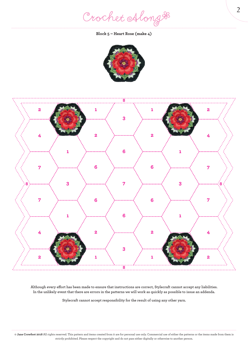Crochet Along #

**Block 5 – Heart Rose (make 4)**





**Although every effort has been made to ensure that instructions are correct, Stylecraft cannot accept any liabilities. In the unlikely event that there are errors in the patterns we will work as quickly as possible to issue an addenda.**

**Stylecraft cannot accept responsibility for the result of using any other yarn.**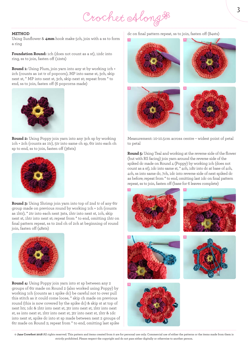Crochet Along #

#### **METHOD**

Using Sunflower & **4mm** hook make 5ch, join with a ss to form a ring

**Foundation Round:** 1ch (does not count as a st), 12dc into ring, ss to join, fasten off (12sts)

**Round 1:** Using Plum, join yarn into any st by working 1ch + 2ch (counts as 1st tr of popcorn), MP into same st, 3ch, skip next st, \* MP into next st, 3ch, skip next st; repeat from \* to end, ss to join, fasten off (6 popcorns made)



**Round 2:** Using Poppy join yarn into any 3ch sp by working 1ch + 2ch (counts as 1tr), 5tr into same ch sp, 6tr into each ch sp to end, ss to join, fasten off (36sts)



**Round 3:** Using Shrimp join yarn into top of 2nd tr of any 6tr group made on previous round by working 1ch + 1ch (counts as 1htr), \* 2tr into each next 3sts, 1htr into next st, 1ch, skip next st, 1htr into next st; repeat from \* to end, omitting 1htr on final pattern repeat, ss to 2nd ch of 2ch at beginning of round join, fasten off (48sts)



**Round 4:** Using Poppy join yarn into st sp between any 2 groups of 6tr made on Round 2 (also worked using Poppy) by working 1ch (counts as 1 spike dc) be careful not to over pull this stitch as it could come loose, \* skip ch made on previous round (this is now covered by the spike dc) & skip st at top of next htr, 1dc & 1htr into next st, 3tr into next st, 1htr into next st, ss into next st, 1htr into next st, 3tr into next st, 1htr & 1dc into next st, spike dc into st sp made between next 2 groups of 6tr made on Round 2; repeat from \* to end, omitting last spike

dc on final pattern repeat, ss to join, fasten off (84sts)



Measurement: 10-10.5cm across centre – widest point of petal to petal

**Round 5:** Using Teal and working at the reverse side of the flower (but with RS facing) join yarn around the reverse side of the spiked dc made on Round 4 (Poppy) by working 1ch (does not count as a st), 1dc into same st, \* 4ch, 1dtr into dc at base of 4ch, 4ch, ss into same dc, 7ch, 1dc into reverse side of next spiked dc as before; repeat from \* to end, omitting last 1dc on final pattern repeat, ss to join, fasten off (base for 6 leaves complete)









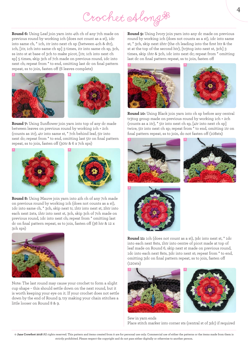# Crochet Along &

**Round 6:** Using Leaf join yarn into 4th ch of any 7ch made on previous round by working 1ch (does not count as a st), 1dc into same ch, \* 1ch, 1tr into next ch sp (between 4ch & dtr), 1ch, [1tr, 1ch into same ch sp] 3 times, 1tr into same ch sp, 3ch, ss into st at base of 3ch to make picot, [1tr, 1ch into next ch sp] 5 times, skip 3ch of 7ch made on previous round, 1dc into next ch; repeat from \* to end, omitting last dc on final pattern repeat, ss to join, fasten off (6 leaves complete)



**Round 7:** Using Sunflower join yarn into top of any dc made between leaves on previous round by working 1ch + 2ch (counts as 1tr), 4tr into same st, \* 7ch behind leaf, 5tr into next dc; repeat from \* to end, omitting last 5tr on final pattern repeat, ss to join, fasten off (30tr & 6 x 7ch sps)



**Round 8:** Using Mauve join yarn into 4th ch of any 7ch made on previous round by working 1ch (does not counts as a st), 1dc into same ch, \* 3ch, skip next tr, 1htr into next st, 2htr into each next 2sts, 1htr into next st, 3ch, skip 3ch of 7ch made on previous round, 1dc into next ch; repeat from \* omitting last dc on final pattern repeat, ss to join, fasten off (36 htr & 12 x 3ch sps)



Note: The last round may cause your crochet to form a slight cup shape – this should settle down on the next round, but it is worth keeping your eye on it. If your crochet does not settle down by the end of Round 9, try making your chain stitches a little looser on Round 8 & 9.

**Round 9:** Using Ivory join yarn into any dc made on previous round by working 1ch (does not counts as a st), 1dc into same st, \* 3ch, skip next 2htr (the ch leading into the first htr & the st at the top of the second htr), [tr3tog into next st, 3ch] 3 times, skip 1htr & 3ch, 1dc into next dc; repeat from \* omitting last dc on final pattern repeat, ss to join, fasten off





**Round 10:** Using Black join yarn into ch sp before any central tr3tog group made on previous round by working 1ch + 2ch (counts as a 1tr), \* 5tr into next ch sp, [4tr into next ch sp] twice, 5tr into next ch sp; repeat from \* to end, omitting 1tr on final pattern repeat, ss to join, do not fasten off (108sts)







**Round 11:** 1ch (does not count as a st), 3dc into next st, \* 1dc into each next 8sts, 1htr into centre of picot made at top of leaf made on Round 6, skip next st made on previous round, 1dc into each next 8sts, 3dc into next st; repeat from \* to end, omitting 3dc on final pattern repeat, ss to join, fasten off (120sts)





Sew in yarn ends Place stitch marker into corner sts (central st of 3dc) if required